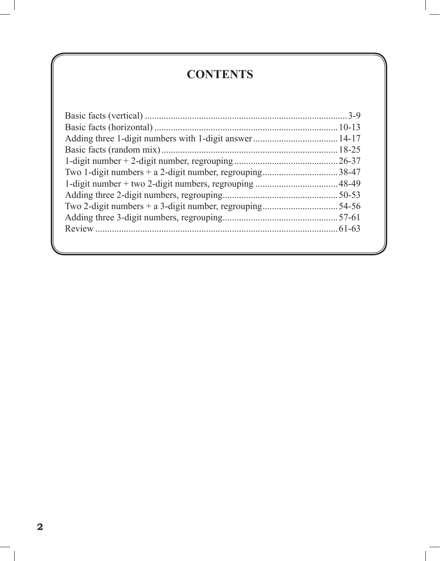## **CONTENTS**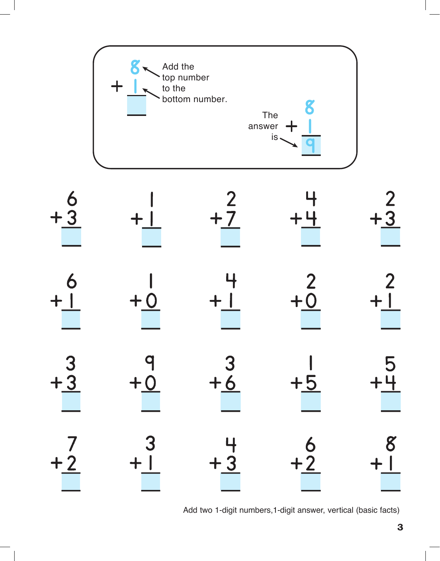



Add two 1-digit numbers,1-digit answer, vertical (basic facts)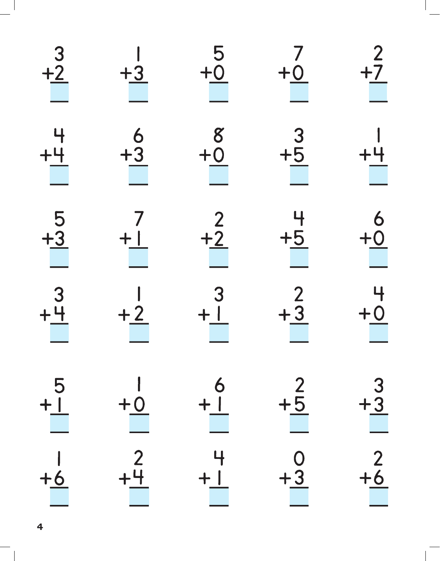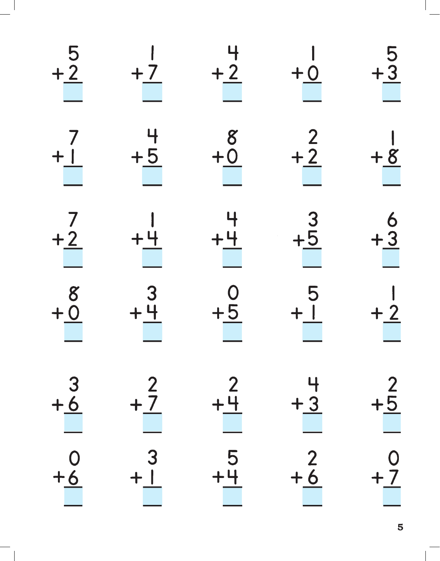| $rac{5}{2}$                                            | $+7$          | $+\frac{2}{2}$                             | $+0$                                     | $\frac{5}{13}$                         |
|--------------------------------------------------------|---------------|--------------------------------------------|------------------------------------------|----------------------------------------|
| $+$ $\dot{1}$                                          | $\frac{4}{1}$ | $\begin{array}{c}\n 8 \\  +0\n\end{array}$ | $\begin{array}{c}\n2 \\ +2\n\end{array}$ | $+8$                                   |
| $+\underline{2}$                                       | $+4$          | $+4$                                       | $\frac{3}{5}$                            | $\begin{array}{r} 6 \\ +3 \end{array}$ |
| $\begin{array}{c}\n 8 \\  +0 \\  \hline\n \end{array}$ | $3 + 4$       | $rac{0}{+5}$                               | $\frac{5}{1}$                            | $+2$                                   |
| $\frac{3}{6}$                                          | 2<br>$+7$     | $+4$                                       | $+3$                                     | $+5$                                   |
| $+6$                                                   |               | 5<br>$+4$                                  | $+6$                                     | $+7$                                   |